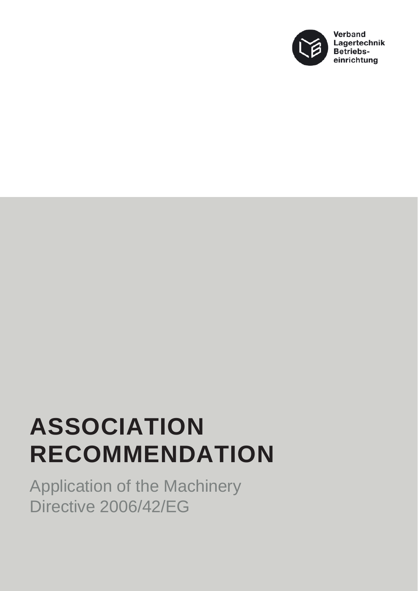

## **ASSOCIATION RECOMMENDATION**

Application of the Machinery Directive 2006/42/EG